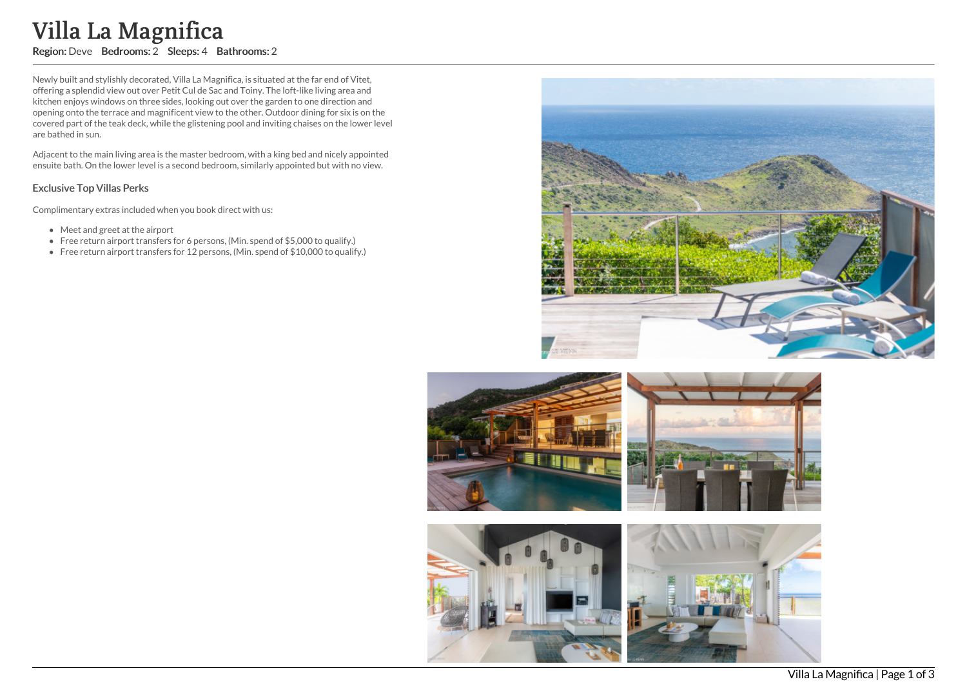## Villa La Magnifica

## Region: Deve Bedrooms: 2 Sleeps: 4 Bathrooms: 2

Newly built and stylishly decorated, Villa La Magnifica, is situated at the far end of Vitet, offering a splendid view out over Petit Cul de Sac and Toiny. The loft-like living area and kitchen enjoys windows on three sides, looking out over the garden to one direction and opening onto the terrace and magnificent view to the other. Outdoor dining for six is on the covered part of the teak deck, while the glistening pool and inviting chaises on the lower level are bathed in sun.

Adjacent to the main living area is the master bedroom, with a king bed and nicely appointed ensuite bath. On the lower level is a second bedroom, similarly appointed but with no view.

## Exclusive Top Villas Perks

Complimentary extras included when you book direct with us:

- Meet and greet at the airport
- Free return airport transfers for 6 persons, (Min. spend of \$5,000 to qualify.)
- Free return airport transfers for 12 persons, (Min. spend of \$10,000 to qualify.)



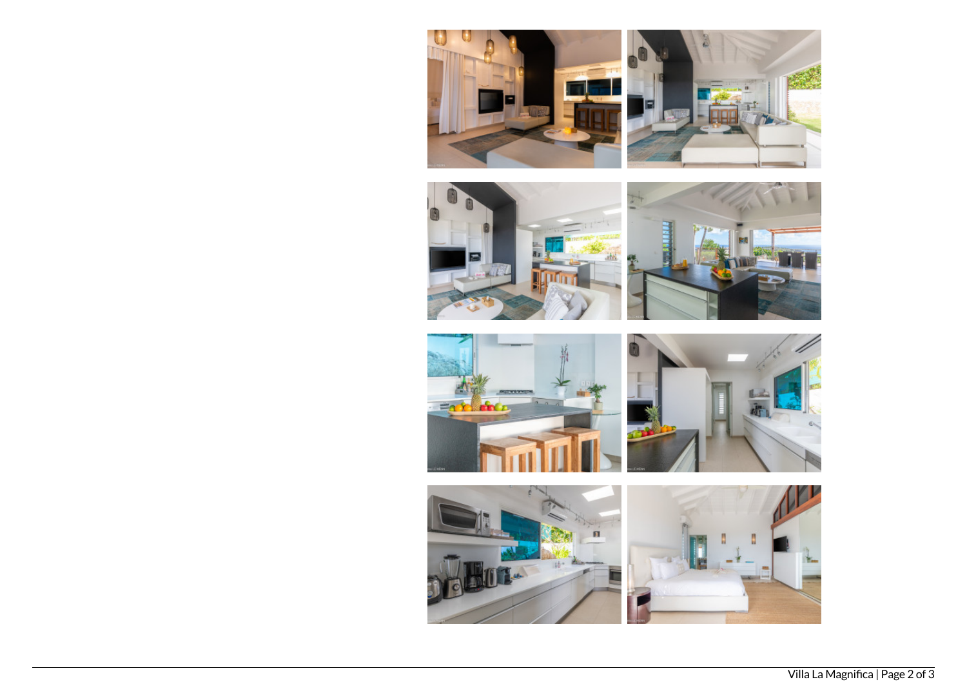

E

圏

 $=$   $\frac{1}{2}$   $\frac{1}{2}$   $\frac{1}{2}$   $\frac{1}{2}$   $\frac{1}{2}$   $\frac{1}{2}$   $\frac{1}{2}$   $\frac{1}{2}$   $\frac{1}{2}$   $\frac{1}{2}$   $\frac{1}{2}$   $\frac{1}{2}$   $\frac{1}{2}$   $\frac{1}{2}$   $\frac{1}{2}$   $\frac{1}{2}$   $\frac{1}{2}$   $\frac{1}{2}$   $\frac{1}{2}$   $\frac{1}{2}$   $\frac{1}{2}$   $\frac{1}{2$ 

**ACCOUNTS**